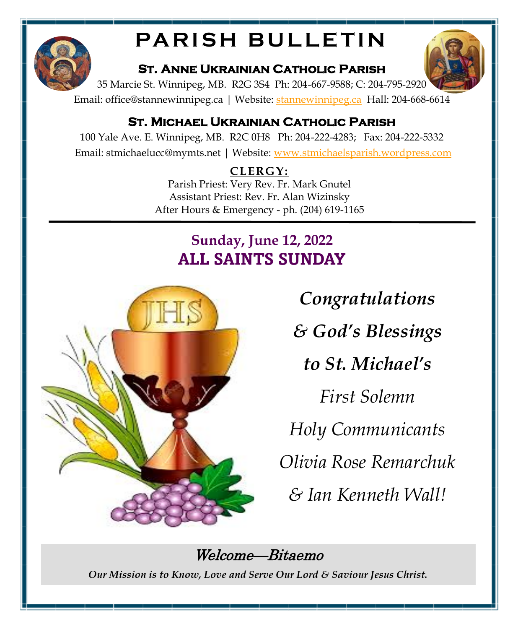

# **PARISH BULLETIN**

### **St. Anne Ukrainian Catholic Parish**

35 Marcie St. Winnipeg, MB. R2G 3S4 Ph: 204-667-9588; C: 204-795-2920

Email: office@stannewinnipeg.ca | Website: [stannewinnipeg.ca](http://www.stannewinnipeg.ca) Hall: 204-668-6614

## **St. Michael Ukrainian Catholic Parish**

100 Yale Ave. E. Winnipeg, MB. R2C 0H8 Ph: 204-222-4283; Fax: 204-222-5332 Email: stmichaelucc@mymts.net | Website: [www.stmichaelsparish.wordpress.com](http://www.stmichaelsparish.wordpress.com)

## **CLERGY:**

Parish Priest: Very Rev. Fr. Mark Gnutel Assistant Priest: Rev. Fr. Alan Wizinsky After Hours & Emergency - ph. (204) 619-1165

# **Sunday, June 12, 2022 ALL SAINTS SUNDAY**



*Congratulations* 

*& God's Blessings* 

*to St. Michael's* 

*First Solemn* 

*Holy Communicants*

*Olivia Rose Remarchuk*

*& Ian Kenneth Wall!*

# Welcome—Bitaemo

*Our Mission is to Know, Love and Serve Our Lord & Saviour Jesus Christ.* 

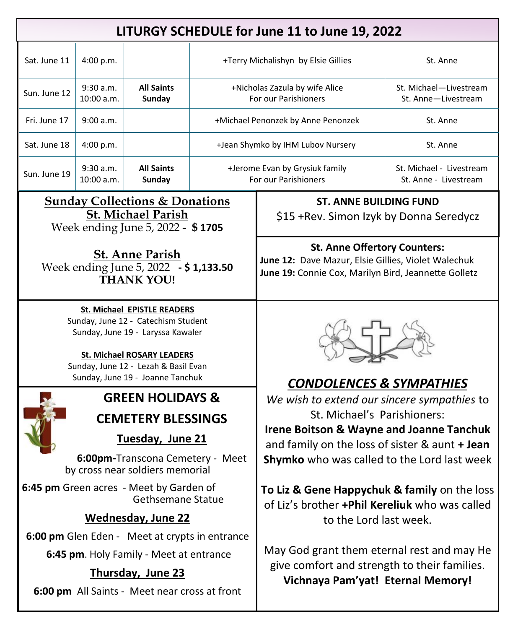| LITURGY SCHEDULE for June 11 to June 19, 2022                                                                                                                                                                            |                         |                             |                                                        |                                                                                                                                                    |                                                   |  |  |
|--------------------------------------------------------------------------------------------------------------------------------------------------------------------------------------------------------------------------|-------------------------|-----------------------------|--------------------------------------------------------|----------------------------------------------------------------------------------------------------------------------------------------------------|---------------------------------------------------|--|--|
| Sat. June 11                                                                                                                                                                                                             | 4:00 p.m.               |                             |                                                        | +Terry Michalishyn by Elsie Gillies                                                                                                                | St. Anne                                          |  |  |
| Sun. June 12                                                                                                                                                                                                             | 9:30 a.m.<br>10:00 a.m. | <b>All Saints</b><br>Sunday |                                                        | +Nicholas Zazula by wife Alice<br>For our Parishioners                                                                                             | St. Michael-Livestream<br>St. Anne-Livestream     |  |  |
| Fri. June 17                                                                                                                                                                                                             | 9:00 a.m.               |                             | +Michael Penonzek by Anne Penonzek                     |                                                                                                                                                    | St. Anne                                          |  |  |
| Sat. June 18                                                                                                                                                                                                             | 4:00 p.m.               |                             | +Jean Shymko by IHM Lubov Nursery                      |                                                                                                                                                    | St. Anne                                          |  |  |
| Sun. June 19                                                                                                                                                                                                             | 9:30 a.m.<br>10:00 a.m. | <b>All Saints</b><br>Sunday | +Jerome Evan by Grysiuk family<br>For our Parishioners |                                                                                                                                                    | St. Michael - Livestream<br>St. Anne - Livestream |  |  |
| <b>Sunday Collections &amp; Donations</b><br><b>St. Michael Parish</b><br>Week ending June 5, 2022 - \$1705                                                                                                              |                         |                             |                                                        | <b>ST. ANNE BUILDING FUND</b><br>\$15 + Rev. Simon Izyk by Donna Seredycz                                                                          |                                                   |  |  |
| <b>St. Anne Parish</b><br>Week ending June 5, 2022 - \$1,133.50<br><b>THANK YOU!</b>                                                                                                                                     |                         |                             |                                                        | <b>St. Anne Offertory Counters:</b><br>June 12: Dave Mazur, Elsie Gillies, Violet Walechuk<br>June 19: Connie Cox, Marilyn Bird, Jeannette Golletz |                                                   |  |  |
| <b>St. Michael EPISTLE READERS</b><br>Sunday, June 12 - Catechism Student<br>Sunday, June 19 - Laryssa Kawaler<br>St. Michael ROSARY LEADERS<br>Sunday, June 12 - Lezah & Basil Evan<br>Sunday, June 19 - Joanne Tanchuk |                         |                             |                                                        | <b>CONDOLENCES &amp; SYMPATHIES</b>                                                                                                                |                                                   |  |  |
| <b>GREEN HOLIDAYS &amp;</b>                                                                                                                                                                                              |                         |                             |                                                        | We wish to extend our sincere sympathies to                                                                                                        |                                                   |  |  |
| <b>CEMETERY BLESSINGS</b>                                                                                                                                                                                                |                         |                             |                                                        | St. Michael's Parishioners:                                                                                                                        |                                                   |  |  |
| Tuesday, June 21                                                                                                                                                                                                         |                         |                             |                                                        | <b>Irene Boitson &amp; Wayne and Joanne Tanchuk</b><br>and family on the loss of sister & aunt + Jean                                              |                                                   |  |  |
| 6:00pm-Transcona Cemetery - Meet<br>by cross near soldiers memorial                                                                                                                                                      |                         |                             |                                                        | <b>Shymko</b> who was called to the Lord last week                                                                                                 |                                                   |  |  |
| 6:45 pm Green acres - Meet by Garden of<br><b>Gethsemane Statue</b>                                                                                                                                                      |                         |                             |                                                        | To Liz & Gene Happychuk & family on the loss<br>of Liz's brother +Phil Kereliuk who was called                                                     |                                                   |  |  |
| <b>Wednesday, June 22</b>                                                                                                                                                                                                |                         |                             |                                                        | to the Lord last week.                                                                                                                             |                                                   |  |  |
| 6:00 pm Glen Eden - Meet at crypts in entrance<br>6:45 pm. Holy Family - Meet at entrance<br>Thursday, June 23<br>6:00 pm All Saints - Meet near cross at front                                                          |                         |                             |                                                        | May God grant them eternal rest and may He<br>give comfort and strength to their families.<br>Vichnaya Pam'yat! Eternal Memory!                    |                                                   |  |  |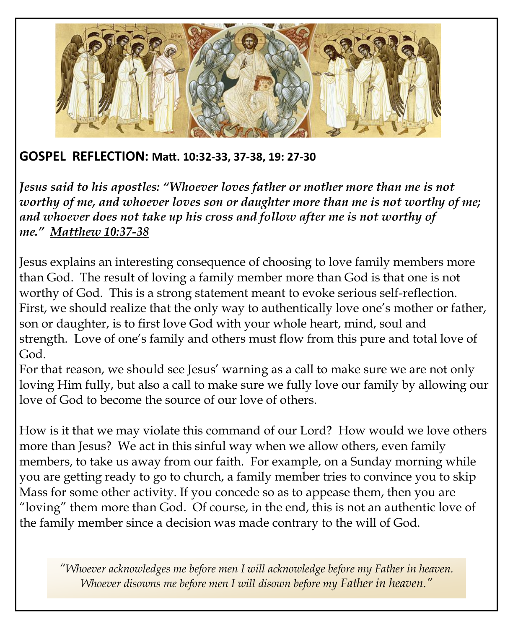

#### **GOSPEL REFLECTION: Matt. 10:32-33, 37-38, 19: 27-30**

*Jesus said to his apostles: "Whoever loves father or mother more than me is not worthy of me, and whoever loves son or daughter more than me is not worthy of me; and whoever does not take up his cross and follow after me is not worthy of me." [Matthew 10:37-38](https://biblia.com/bible/rsvce/Matt%2010.37-38)*

Jesus explains an interesting consequence of choosing to love family members more than God. The result of loving a family member more than God is that one is not worthy of God. This is a strong statement meant to evoke serious self-reflection. First, we should realize that the only way to authentically love one's mother or father, son or daughter, is to first love God with your whole heart, mind, soul and strength. Love of one's family and others must flow from this pure and total love of God.

For that reason, we should see Jesus' warning as a call to make sure we are not only loving Him fully, but also a call to make sure we fully love our family by allowing our love of God to become the source of our love of others.

How is it that we may violate this command of our Lord? How would we love others more than Jesus? We act in this sinful way when we allow others, even family members, to take us away from our faith. For example, on a Sunday morning while you are getting ready to go to church, a family member tries to convince you to skip Mass for some other activity. If you concede so as to appease them, then you are "loving" them more than God. Of course, in the end, this is not an authentic love of the family member since a decision was made contrary to the will of God.

*"Whoever acknowledges me before men I will acknowledge before my Father in heaven. Whoever disowns me before men I will disown before my Father in heaven."*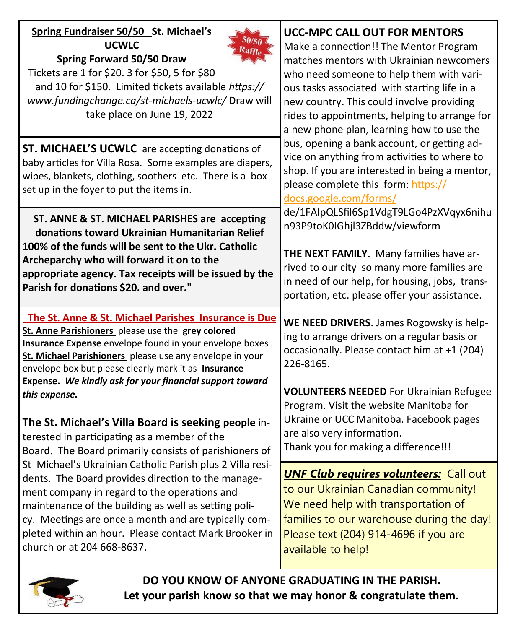| Spring Fundraiser 50/50 St. Michael's<br><b>UCWLC</b><br>Spring Forward 50/50 Draw<br>Tickets are 1 for \$20. 3 for \$50, 5 for \$80<br>and 10 for \$150. Limited tickets available https://<br>www.fundingchange.ca/st-michaels-ucwlc/Draw will<br>take place on June 19, 2022                                                                                        | <b>UCC-MPC CALL OUT FOR MENTORS</b><br>Make a connection!! The Mentor Program<br>matches mentors with Ukrainian newcomers<br>who need someone to help them with vari-<br>ous tasks associated with starting life in a<br>new country. This could involve providing<br>rides to appointments, helping to arrange for<br>a new phone plan, learning how to use the                                                                                                                                                                                                                                                                                                                                                                                                                                                                                               |  |
|------------------------------------------------------------------------------------------------------------------------------------------------------------------------------------------------------------------------------------------------------------------------------------------------------------------------------------------------------------------------|----------------------------------------------------------------------------------------------------------------------------------------------------------------------------------------------------------------------------------------------------------------------------------------------------------------------------------------------------------------------------------------------------------------------------------------------------------------------------------------------------------------------------------------------------------------------------------------------------------------------------------------------------------------------------------------------------------------------------------------------------------------------------------------------------------------------------------------------------------------|--|
| ST. MICHAEL'S UCWLC are accepting donations of<br>baby articles for Villa Rosa. Some examples are diapers,<br>wipes, blankets, clothing, soothers etc. There is a box<br>set up in the foyer to put the items in.                                                                                                                                                      | bus, opening a bank account, or getting ad-<br>vice on anything from activities to where to<br>shop. If you are interested in being a mentor,<br>please complete this form: https://<br>docs.google.com/forms/<br>de/1FAIpQLSfil6Sp1VdgT9LGo4PzXVqyx6nihu<br>n93P9toK0IGhjl3ZBddw/viewform<br>THE NEXT FAMILY. Many families have ar-<br>rived to our city so many more families are<br>in need of our help, for housing, jobs, trans-<br>portation, etc. please offer your assistance.<br>WE NEED DRIVERS. James Rogowsky is help-<br>ing to arrange drivers on a regular basis or<br>occasionally. Please contact him at +1 (204)<br>226-8165.<br><b>VOLUNTEERS NEEDED</b> For Ukrainian Refugee<br>Program. Visit the website Manitoba for<br>Ukraine or UCC Manitoba. Facebook pages<br>are also very information.<br>Thank you for making a difference!!! |  |
| ST. ANNE & ST. MICHAEL PARISHES are accepting<br>donations toward Ukrainian Humanitarian Relief<br>100% of the funds will be sent to the Ukr. Catholic<br>Archeparchy who will forward it on to the<br>appropriate agency. Tax receipts will be issued by the<br>Parish for donations \$20. and over."                                                                 |                                                                                                                                                                                                                                                                                                                                                                                                                                                                                                                                                                                                                                                                                                                                                                                                                                                                |  |
| The St. Anne & St. Michael Parishes Insurance is Due<br>St. Anne Parishioners please use the grey colored<br>Insurance Expense envelope found in your envelope boxes.<br>St. Michael Parishioners please use any envelope in your<br>envelope box but please clearly mark it as Insurance<br>Expense. We kindly ask for your financial support toward<br>this expense. |                                                                                                                                                                                                                                                                                                                                                                                                                                                                                                                                                                                                                                                                                                                                                                                                                                                                |  |
| The St. Michael's Villa Board is seeking people in-<br>terested in participating as a member of the<br>Board. The Board primarily consists of parishioners of                                                                                                                                                                                                          |                                                                                                                                                                                                                                                                                                                                                                                                                                                                                                                                                                                                                                                                                                                                                                                                                                                                |  |
| St Michael's Ukrainian Catholic Parish plus 2 Villa resi-<br>dents. The Board provides direction to the manage-<br>ment company in regard to the operations and<br>maintenance of the building as well as setting poli-<br>cy. Meetings are once a month and are typically com-<br>pleted within an hour. Please contact Mark Brooker in<br>church or at 204 668-8637. | <b>UNF Club requires volunteers:</b> Call out<br>to our Ukrainian Canadian community!<br>We need help with transportation of<br>families to our warehouse during the day!<br>Please text (204) 914-4696 if you are<br>available to help!                                                                                                                                                                                                                                                                                                                                                                                                                                                                                                                                                                                                                       |  |



**DO YOU KNOW OF ANYONE GRADUATING IN THE PARISH. Let your parish know so that we may honor & congratulate them.**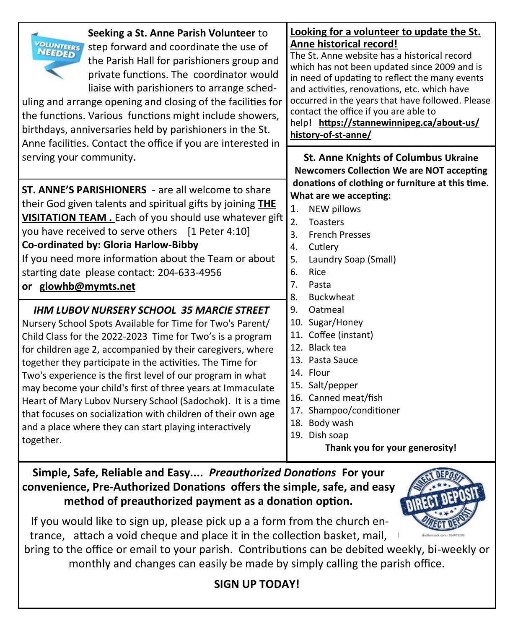| Seeking a St. Anne Parish Volunteer to<br>VOLUNTEERS<br>step forward and coordinate the use of<br>the Parish Hall for parishioners group and<br>private functions. The coordinator would<br>liaise with parishioners to arrange sched-<br>uling and arrange opening and closing of the facilities for<br>the functions. Various functions might include showers,<br>birthdays, anniversaries held by parishioners in the St.<br>Anne facilities. Contact the office if you are interested in                                                                                                                                            | Looking for a volunteer to update the St.<br>Anne historical record!<br>The St. Anne website has a historical record<br>which has not been updated since 2009 and is<br>in need of updating to reflect the many events<br>and activities, renovations, etc. which have<br>occurred in the years that have followed. Please<br>contact the office if you are able to<br>help! https://stannewinnipeg.ca/about-us/<br>history-of-st-anne/                                                                                                               |  |  |
|-----------------------------------------------------------------------------------------------------------------------------------------------------------------------------------------------------------------------------------------------------------------------------------------------------------------------------------------------------------------------------------------------------------------------------------------------------------------------------------------------------------------------------------------------------------------------------------------------------------------------------------------|-------------------------------------------------------------------------------------------------------------------------------------------------------------------------------------------------------------------------------------------------------------------------------------------------------------------------------------------------------------------------------------------------------------------------------------------------------------------------------------------------------------------------------------------------------|--|--|
| serving your community.                                                                                                                                                                                                                                                                                                                                                                                                                                                                                                                                                                                                                 | <b>St. Anne Knights of Columbus Ukraine</b><br><b>Newcomers Collection We are NOT accepting</b>                                                                                                                                                                                                                                                                                                                                                                                                                                                       |  |  |
| <b>ST. ANNE'S PARISHIONERS</b> - are all welcome to share<br>their God given talents and spiritual gifts by joining THE<br>VISITATION TEAM. Each of you should use whatever gift<br>you have received to serve others [1 Peter 4:10]<br>Co-ordinated by: Gloria Harlow-Bibby<br>If you need more information about the Team or about<br>starting date please contact: 204-633-4956<br>or glowhb@mymts.net                                                                                                                                                                                                                               | donations of clothing or furniture at this time.<br>What are we accepting:<br><b>NEW pillows</b><br>1.<br>$\mathfrak{D}$ .<br><b>Toasters</b><br><b>French Presses</b><br>3.<br>4.<br>Cutlery<br>Laundry Soap (Small)<br>5.<br>6.<br>Rice<br>7 <sub>1</sub><br>Pasta<br>8.<br><b>Buckwheat</b><br>9.<br>Oatmeal<br>10. Sugar/Honey<br>11. Coffee (instant)<br>12. Black tea<br>13. Pasta Sauce<br>14. Flour<br>15. Salt/pepper<br>16. Canned meat/fish<br>17. Shampoo/conditioner<br>18. Body wash<br>19. Dish soap<br>Thank you for your generosity! |  |  |
| <b>IHM LUBOV NURSERY SCHOOL 35 MARCIE STREET</b><br>Nursery School Spots Available for Time for Two's Parent/<br>Child Class for the 2022-2023 Time for Two's is a program<br>for children age 2, accompanied by their caregivers, where<br>together they participate in the activities. The Time for<br>Two's experience is the first level of our program in what<br>may become your child's first of three years at Immaculate<br>Heart of Mary Lubov Nursery School (Sadochok). It is a time<br>that focuses on socialization with children of their own age<br>and a place where they can start playing interactively<br>together. |                                                                                                                                                                                                                                                                                                                                                                                                                                                                                                                                                       |  |  |

**Simple, Safe, Reliable and Easy....** *Preauthorized Donations* **For your convenience, Pre-Authorized Donations offers the simple, safe, and easy method of preauthorized payment as a donation option.** 

If you would like to sign up, please pick up a a form from the church entrance, attach a void cheque and place it in the collection basket, mail,

bring to the office or email to your parish. Contributions can be debited weekly, bi-weekly or monthly and changes can easily be made by simply calling the parish office.

#### **SIGN UP TODAY!**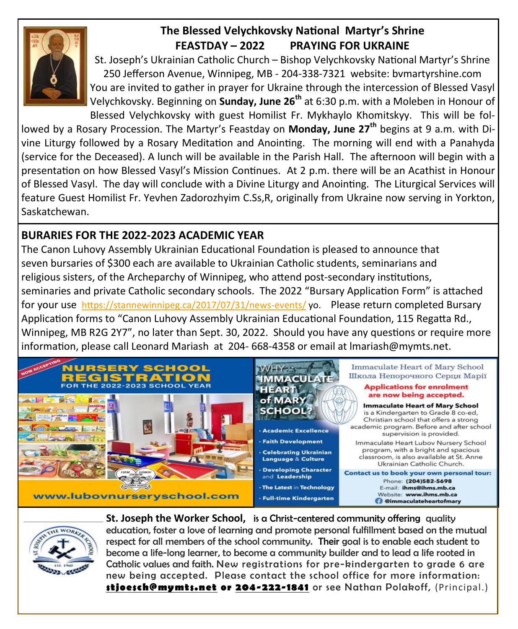

#### **The Blessed Velychkovsky National Martyr's Shrine FEASTDAY – 2022 PRAYING FOR UKRAINE**

St. Joseph's Ukrainian Catholic Church – Bishop Velychkovsky National Martyr's Shrine 250 Jefferson Avenue, Winnipeg, MB - 204-338-7321 website: bvmartyrshine.com You are invited to gather in prayer for Ukraine through the intercession of Blessed Vasyl Velychkovsky. Beginning on **Sunday, June 26th** at 6:30 p.m. with a Moleben in Honour of Blessed Velychkovsky with guest Homilist Fr. Mykhaylo Khomitskyy. This will be fol-

lowed by a Rosary Procession. The Martyr's Feastday on **Monday, June 27th** begins at 9 a.m. with Divine Liturgy followed by a Rosary Meditation and Anointing. The morning will end with a Panahyda (service for the Deceased). A lunch will be available in the Parish Hall. The afternoon will begin with a presentation on how Blessed Vasyl's Mission Continues. At 2 p.m. there will be an Acathist in Honour of Blessed Vasyl. The day will conclude with a Divine Liturgy and Anointing. The Liturgical Services will feature Guest Homilist Fr. Yevhen Zadorozhyim C.Ss,R, originally from Ukraine now serving in Yorkton, Saskatchewan.

#### **BURARIES FOR THE 2022-2023 ACADEMIC YEAR**

The Canon Luhovy Assembly Ukrainian Educational Foundation is pleased to announce that seven bursaries of \$300 each are available to Ukrainian Catholic students, seminarians and religious sisters, of the Archeparchy of Winnipeg, who attend post-secondary institutions, seminaries and private Catholic secondary schools. The 2022 "Bursary Application Form" is attached for your use [https://stannewinnipeg.ca/2017/07/31/news](https://stannewinnipeg.ca/2017/07/31/news-events/)-events/ yo. Please return completed Bursary Application forms to "Canon Luhovy Assembly Ukrainian Educational Foundation, 115 Regatta Rd., Winnipeg, MB R2G 2Y7", no later than Sept. 30, 2022. Should you have any questions or require more information, please call Leonard Mariash at 204- 668-4358 or email at lmariash@mymts.net.





**St. Joseph the Worker School,** is a Christ-centered community offering quality education, foster a love of learning and promote personal fulfillment based on the mutual respect for all members of the school community. Their goal is to enable each student to become a life-long learner, to become a community builder and to lead a life rooted in Catholic values and faith. New registrations for pre-kindergarten to grade 6 are new being accepted. Please contact the school office for more information: **[stjoesch@mymts.net](mailto:stjoesch@mymts.net) or [204-222-1841](callto:204-222-1841)** or see Nathan Polakoff, (Principal.)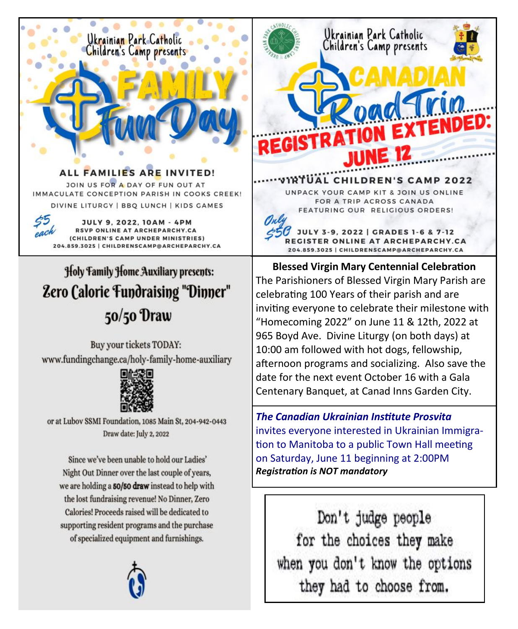

of specialized equipment and furnishings.



when you don't know the options they had to choose from.